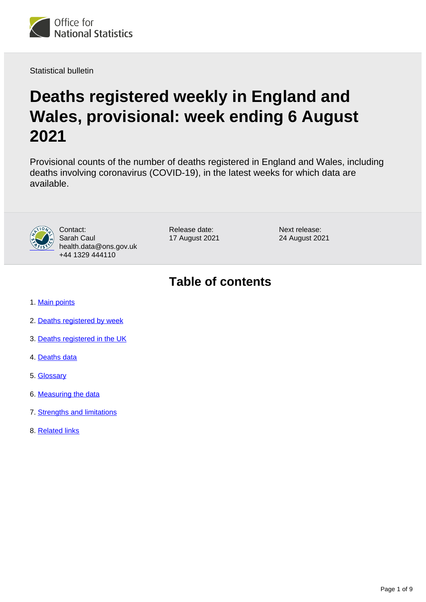

Statistical bulletin

# **Deaths registered weekly in England and Wales, provisional: week ending 6 August 2021**

Provisional counts of the number of deaths registered in England and Wales, including deaths involving coronavirus (COVID-19), in the latest weeks for which data are available.



Contact: Sarah Caul health.data@ons.gov.uk +44 1329 444110

Release date: 17 August 2021 Next release: 24 August 2021

## **Table of contents**

- 1. [Main points](#page-1-0)
- 2. [Deaths registered by week](#page-1-1)
- 3. [Deaths registered in the UK](#page-4-0)
- 4. [Deaths data](#page-5-0)
- 5. [Glossary](#page-5-1)
- 6. [Measuring the data](#page-5-2)
- 7. [Strengths and limitations](#page-7-0)
- 8. [Related links](#page-8-0)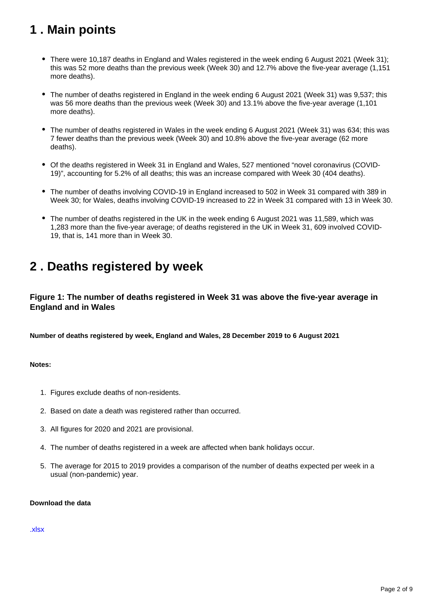## <span id="page-1-0"></span>**1 . Main points**

- There were 10,187 deaths in England and Wales registered in the week ending 6 August 2021 (Week 31); this was 52 more deaths than the previous week (Week 30) and 12.7% above the five-year average (1,151 more deaths).
- The number of deaths registered in England in the week ending 6 August 2021 (Week 31) was 9,537; this was 56 more deaths than the previous week (Week 30) and 13.1% above the five-year average (1,101 more deaths).
- The number of deaths registered in Wales in the week ending 6 August 2021 (Week 31) was 634; this was 7 fewer deaths than the previous week (Week 30) and 10.8% above the five-year average (62 more deaths).
- Of the deaths registered in Week 31 in England and Wales, 527 mentioned "novel coronavirus (COVID-19)", accounting for 5.2% of all deaths; this was an increase compared with Week 30 (404 deaths).
- The number of deaths involving COVID-19 in England increased to 502 in Week 31 compared with 389 in Week 30; for Wales, deaths involving COVID-19 increased to 22 in Week 31 compared with 13 in Week 30.
- The number of deaths registered in the UK in the week ending 6 August 2021 was 11,589, which was 1,283 more than the five-year average; of deaths registered in the UK in Week 31, 609 involved COVID-19, that is, 141 more than in Week 30.

### <span id="page-1-1"></span>**2 . Deaths registered by week**

### **Figure 1: The number of deaths registered in Week 31 was above the five-year average in England and in Wales**

**Number of deaths registered by week, England and Wales, 28 December 2019 to 6 August 2021**

### **Notes:**

- 1. Figures exclude deaths of non-residents.
- 2. Based on date a death was registered rather than occurred.
- 3. All figures for 2020 and 2021 are provisional.
- 4. The number of deaths registered in a week are affected when bank holidays occur.
- 5. The average for 2015 to 2019 provides a comparison of the number of deaths expected per week in a usual (non-pandemic) year.

### **Download the data**

### [.xlsx](https://www.ons.gov.uk/visualisations/dvc1524/fig1/datadownload.xlsx)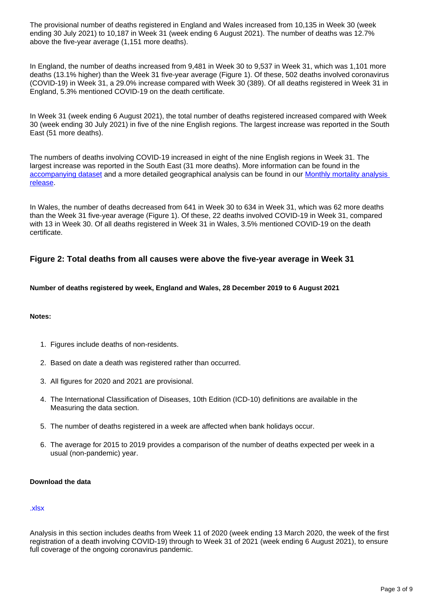The provisional number of deaths registered in England and Wales increased from 10,135 in Week 30 (week ending 30 July 2021) to 10,187 in Week 31 (week ending 6 August 2021). The number of deaths was 12.7% above the five-year average (1,151 more deaths).

In England, the number of deaths increased from 9,481 in Week 30 to 9,537 in Week 31, which was 1,101 more deaths (13.1% higher) than the Week 31 five-year average (Figure 1). Of these, 502 deaths involved coronavirus (COVID-19) in Week 31, a 29.0% increase compared with Week 30 (389). Of all deaths registered in Week 31 in England, 5.3% mentioned COVID-19 on the death certificate.

In Week 31 (week ending 6 August 2021), the total number of deaths registered increased compared with Week 30 (week ending 30 July 2021) in five of the nine English regions. The largest increase was reported in the South East (51 more deaths).

The numbers of deaths involving COVID-19 increased in eight of the nine English regions in Week 31. The largest increase was reported in the South East (31 more deaths). More information can be found in the [accompanying dataset](https://www.ons.gov.uk/peoplepopulationandcommunity/birthsdeathsandmarriages/deaths/datasets/weeklyprovisionalfiguresondeathsregisteredinenglandandwales) and a more detailed geographical analysis can be found in our [Monthly mortality analysis](https://www.ons.gov.uk/peoplepopulationandcommunity/birthsdeathsandmarriages/deaths/bulletins/monthlymortalityanalysisenglandandwales/latest)  [release.](https://www.ons.gov.uk/peoplepopulationandcommunity/birthsdeathsandmarriages/deaths/bulletins/monthlymortalityanalysisenglandandwales/latest)

In Wales, the number of deaths decreased from 641 in Week 30 to 634 in Week 31, which was 62 more deaths than the Week 31 five-year average (Figure 1). Of these, 22 deaths involved COVID-19 in Week 31, compared with 13 in Week 30. Of all deaths registered in Week 31 in Wales, 3.5% mentioned COVID-19 on the death certificate.

### **Figure 2: Total deaths from all causes were above the five-year average in Week 31**

**Number of deaths registered by week, England and Wales, 28 December 2019 to 6 August 2021**

#### **Notes:**

- 1. Figures include deaths of non-residents.
- 2. Based on date a death was registered rather than occurred.
- 3. All figures for 2020 and 2021 are provisional.
- 4. The International Classification of Diseases, 10th Edition (ICD-10) definitions are available in the Measuring the data section.
- 5. The number of deaths registered in a week are affected when bank holidays occur.
- 6. The average for 2015 to 2019 provides a comparison of the number of deaths expected per week in a usual (non-pandemic) year.

#### **Download the data**

#### [.xlsx](https://www.ons.gov.uk/visualisations/dvc1524/fig2/datadownload.xlsx)

Analysis in this section includes deaths from Week 11 of 2020 (week ending 13 March 2020, the week of the first registration of a death involving COVID-19) through to Week 31 of 2021 (week ending 6 August 2021), to ensure full coverage of the ongoing coronavirus pandemic.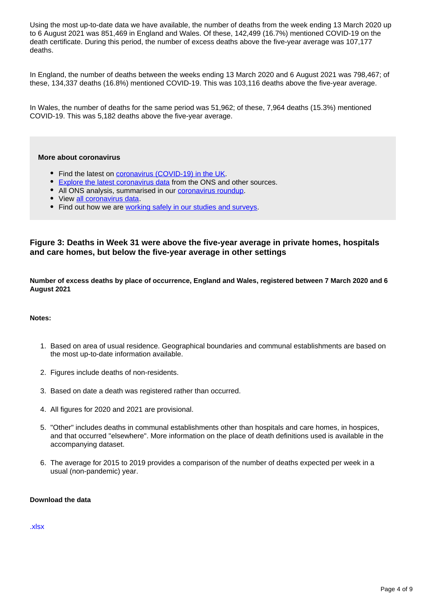Using the most up-to-date data we have available, the number of deaths from the week ending 13 March 2020 up to 6 August 2021 was 851,469 in England and Wales. Of these, 142,499 (16.7%) mentioned COVID-19 on the death certificate. During this period, the number of excess deaths above the five-year average was 107,177 deaths.

In England, the number of deaths between the weeks ending 13 March 2020 and 6 August 2021 was 798,467; of these, 134,337 deaths (16.8%) mentioned COVID-19. This was 103,116 deaths above the five-year average.

In Wales, the number of deaths for the same period was 51,962; of these, 7,964 deaths (15.3%) mentioned COVID-19. This was 5,182 deaths above the five-year average.

#### **More about coronavirus**

- Find the latest on [coronavirus \(COVID-19\) in the UK.](https://www.ons.gov.uk/peoplepopulationandcommunity/healthandsocialcare/conditionsanddiseases)
- [Explore the latest coronavirus data](https://www.ons.gov.uk/peoplepopulationandcommunity/healthandsocialcare/conditionsanddiseases/articles/coronaviruscovid19/latestinsights) from the ONS and other sources.
- All ONS analysis, summarised in our [coronavirus roundup.](https://www.ons.gov.uk/peoplepopulationandcommunity/healthandsocialcare/conditionsanddiseases/articles/coronaviruscovid19roundup/latest)
- View [all coronavirus data](https://www.ons.gov.uk/peoplepopulationandcommunity/healthandsocialcare/conditionsanddiseases/datalist).
- Find out how we are [working safely in our studies and surveys.](https://www.ons.gov.uk/news/statementsandletters/ensuringyoursafetyduringcovid19)

### **Figure 3: Deaths in Week 31 were above the five-year average in private homes, hospitals and care homes, but below the five-year average in other settings**

**Number of excess deaths by place of occurrence, England and Wales, registered between 7 March 2020 and 6 August 2021**

#### **Notes:**

- 1. Based on area of usual residence. Geographical boundaries and communal establishments are based on the most up-to-date information available.
- 2. Figures include deaths of non-residents.
- 3. Based on date a death was registered rather than occurred.
- 4. All figures for 2020 and 2021 are provisional.
- 5. "Other" includes deaths in communal establishments other than hospitals and care homes, in hospices, and that occurred "elsewhere". More information on the place of death definitions used is available in the accompanying dataset.
- 6. The average for 2015 to 2019 provides a comparison of the number of deaths expected per week in a usual (non-pandemic) year.

#### **Download the data**

[.xlsx](https://www.ons.gov.uk/visualisations/dvc1524/fig3/datadownload.xlsx)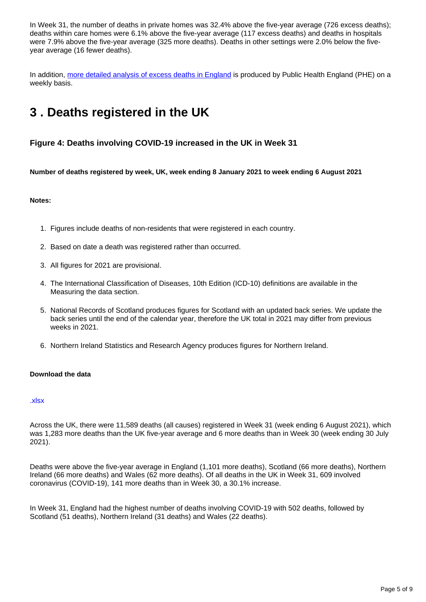In Week 31, the number of deaths in private homes was 32.4% above the five-year average (726 excess deaths); deaths within care homes were 6.1% above the five-year average (117 excess deaths) and deaths in hospitals were 7.9% above the five-year average (325 more deaths). Deaths in other settings were 2.0% below the fiveyear average (16 fewer deaths).

In addition, [more detailed analysis of excess deaths in England](https://www.gov.uk/government/statistics/excess-mortality-in-england-weekly-reports) is produced by Public Health England (PHE) on a weekly basis.

## <span id="page-4-0"></span>**3 . Deaths registered in the UK**

### **Figure 4: Deaths involving COVID-19 increased in the UK in Week 31**

**Number of deaths registered by week, UK, week ending 8 January 2021 to week ending 6 August 2021**

### **Notes:**

- 1. Figures include deaths of non-residents that were registered in each country.
- 2. Based on date a death was registered rather than occurred.
- 3. All figures for 2021 are provisional.
- 4. The International Classification of Diseases, 10th Edition (ICD-10) definitions are available in the Measuring the data section.
- 5. National Records of Scotland produces figures for Scotland with an updated back series. We update the back series until the end of the calendar year, therefore the UK total in 2021 may differ from previous weeks in 2021.
- 6. Northern Ireland Statistics and Research Agency produces figures for Northern Ireland.

#### **Download the data**

#### [.xlsx](https://www.ons.gov.uk/visualisations/dvc1524/fig4/datadownload.xlsx)

Across the UK, there were 11,589 deaths (all causes) registered in Week 31 (week ending 6 August 2021), which was 1,283 more deaths than the UK five-year average and 6 more deaths than in Week 30 (week ending 30 July 2021).

Deaths were above the five-year average in England (1,101 more deaths), Scotland (66 more deaths), Northern Ireland (66 more deaths) and Wales (62 more deaths). Of all deaths in the UK in Week 31, 609 involved coronavirus (COVID-19), 141 more deaths than in Week 30, a 30.1% increase.

In Week 31, England had the highest number of deaths involving COVID-19 with 502 deaths, followed by Scotland (51 deaths), Northern Ireland (31 deaths) and Wales (22 deaths).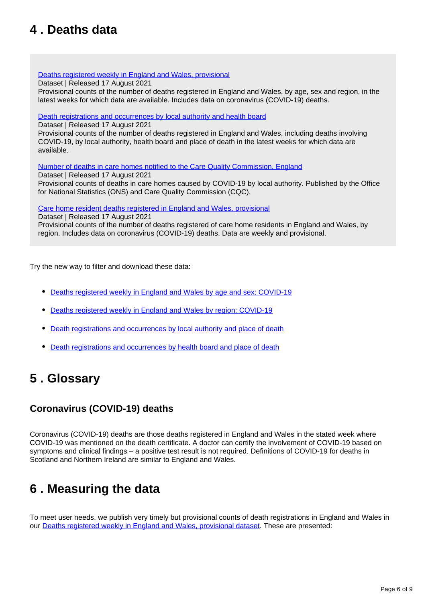## <span id="page-5-0"></span>**4 . Deaths data**

### [Deaths registered weekly in England and Wales, provisional](https://www.ons.gov.uk/peoplepopulationandcommunity/birthsdeathsandmarriages/deaths/datasets/weeklyprovisionalfiguresondeathsregisteredinenglandandwales)

Dataset | Released 17 August 2021

Provisional counts of the number of deaths registered in England and Wales, by age, sex and region, in the latest weeks for which data are available. Includes data on coronavirus (COVID-19) deaths.

### [Death registrations and occurrences by local authority and health board](https://www.ons.gov.uk/peoplepopulationandcommunity/healthandsocialcare/causesofdeath/datasets/deathregistrationsandoccurrencesbylocalauthorityandhealthboard)

Dataset | Released 17 August 2021

Provisional counts of the number of deaths registered in England and Wales, including deaths involving COVID-19, by local authority, health board and place of death in the latest weeks for which data are available.

[Number of deaths in care homes notified to the Care Quality Commission, England](https://www.ons.gov.uk/peoplepopulationandcommunity/birthsdeathsandmarriages/deaths/datasets/numberofdeathsincarehomesnotifiedtothecarequalitycommissionengland)

Dataset | Released 17 August 2021 Provisional counts of deaths in care homes caused by COVID-19 by local authority. Published by the Office for National Statistics (ONS) and Care Quality Commission (CQC).

[Care home resident deaths registered in England and Wales, provisional](https://www.ons.gov.uk/peoplepopulationandcommunity/birthsdeathsandmarriages/deaths/datasets/carehomeresidentdeathsregisteredinenglandandwalesprovisional)

Dataset | Released 17 August 2021 Provisional counts of the number of deaths registered of care home residents in England and Wales, by region. Includes data on coronavirus (COVID-19) deaths. Data are weekly and provisional.

Try the new way to filter and download these data:

- [Deaths registered weekly in England and Wales by age and sex: COVID-19](https://www.ons.gov.uk/datasets/weekly-deaths-age-sex?%3Auri=weekly-deaths-age-sex%2F)
- [Deaths registered weekly in England and Wales by region: COVID-19](https://www.ons.gov.uk/datasets/weekly-deaths-region/)
- [Death registrations and occurrences by local authority and place of death](https://www.ons.gov.uk/datasets/weekly-deaths-local-authority/)
- [Death registrations and occurrences by health board and place of death](https://www.ons.gov.uk/datasets/weekly-deaths-health-board/editions/time-series/versions?%3Auri=weekly-deaths-health-board%2Feditions%2Ftime-series%2Fversions%2F)

### <span id="page-5-1"></span>**5 . Glossary**

### **Coronavirus (COVID-19) deaths**

Coronavirus (COVID-19) deaths are those deaths registered in England and Wales in the stated week where COVID-19 was mentioned on the death certificate. A doctor can certify the involvement of COVID-19 based on symptoms and clinical findings – a positive test result is not required. Definitions of COVID-19 for deaths in Scotland and Northern Ireland are similar to England and Wales.

## <span id="page-5-2"></span>**6 . Measuring the data**

To meet user needs, we publish very timely but provisional counts of death registrations in England and Wales in our [Deaths registered weekly in England and Wales, provisional dataset](https://www.ons.gov.uk/peoplepopulationandcommunity/birthsdeathsandmarriages/deaths/datasets/weeklyprovisionalfiguresondeathsregisteredinenglandandwales). These are presented: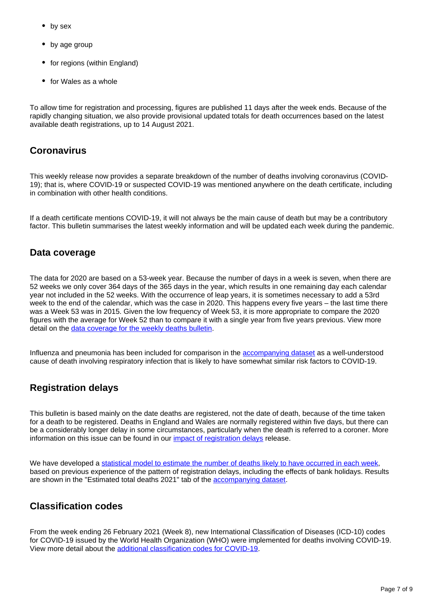- by sex
- by age group
- for regions (within England)
- for Wales as a whole

To allow time for registration and processing, figures are published 11 days after the week ends. Because of the rapidly changing situation, we also provide provisional updated totals for death occurrences based on the latest available death registrations, up to 14 August 2021.

### **Coronavirus**

This weekly release now provides a separate breakdown of the number of deaths involving coronavirus (COVID-19); that is, where COVID-19 or suspected COVID-19 was mentioned anywhere on the death certificate, including in combination with other health conditions.

If a death certificate mentions COVID-19, it will not always be the main cause of death but may be a contributory factor. This bulletin summarises the latest weekly information and will be updated each week during the pandemic.

### **Data coverage**

The data for 2020 are based on a 53-week year. Because the number of days in a week is seven, when there are 52 weeks we only cover 364 days of the 365 days in the year, which results in one remaining day each calendar year not included in the 52 weeks. With the occurrence of leap years, it is sometimes necessary to add a 53rd week to the end of the calendar, which was the case in 2020. This happens every five years – the last time there was a Week 53 was in 2015. Given the low frequency of Week 53, it is more appropriate to compare the 2020 figures with the average for Week 52 than to compare it with a single year from five years previous. View more detail on the [data coverage for the weekly deaths bulletin](https://www.ons.gov.uk/peoplepopulationandcommunity/birthsdeathsandmarriages/deaths/methodologies/coronavirusandmortalityinenglandandwalesmethodology).

Influenza and pneumonia has been included for comparison in the [accompanying dataset](https://www.ons.gov.uk/peoplepopulationandcommunity/birthsdeathsandmarriages/deaths/datasets/weeklyprovisionalfiguresondeathsregisteredinenglandandwales) as a well-understood cause of death involving respiratory infection that is likely to have somewhat similar risk factors to COVID-19.

### **Registration delays**

This bulletin is based mainly on the date deaths are registered, not the date of death, because of the time taken for a death to be registered. Deaths in England and Wales are normally registered within five days, but there can be a considerably longer delay in some circumstances, particularly when the death is referred to a coroner. More information on this issue can be found in our [impact of registration delays](https://www.ons.gov.uk/peoplepopulationandcommunity/birthsdeathsandmarriages/deaths/articles/impactofregistrationdelaysonmortalitystatisticsinenglandandwales/2019) release.

We have developed a [statistical model to estimate the number of deaths likely to have occurred in each week,](https://www.ons.gov.uk/peoplepopulationandcommunity/birthsdeathsandmarriages/deaths/methodologies/predictingtotalweeklydeathoccurrencesinenglandandwalesmethodology) based on previous experience of the pattern of registration delays, including the effects of bank holidays. Results are shown in the "Estimated total deaths 2021" tab of the [accompanying dataset](https://www.ons.gov.uk/peoplepopulationandcommunity/birthsdeathsandmarriages/deaths/datasets/weeklyprovisionalfiguresondeathsregisteredinenglandandwales).

### **Classification codes**

From the week ending 26 February 2021 (Week 8), new International Classification of Diseases (ICD-10) codes for COVID-19 issued by the World Health Organization (WHO) were implemented for deaths involving COVID-19. View more detail about the [additional classification codes for COVID-19.](https://www.ons.gov.uk/peoplepopulationandcommunity/birthsdeathsandmarriages/deaths/methodologies/coronavirusandmortalityinenglandandwalesmethodology)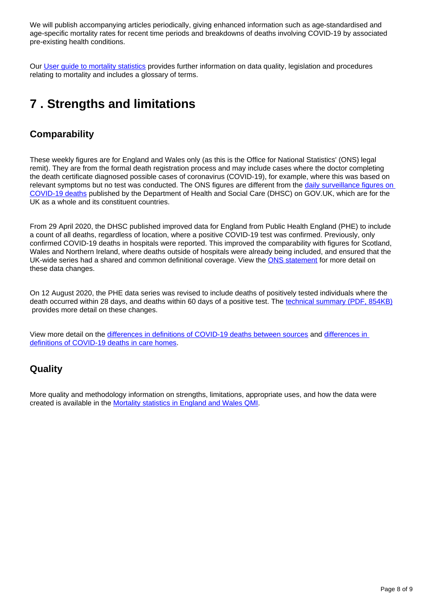We will publish accompanying articles periodically, giving enhanced information such as age-standardised and age-specific mortality rates for recent time periods and breakdowns of deaths involving COVID-19 by associated pre-existing health conditions.

Our [User guide to mortality statistics](https://www.ons.gov.uk/peoplepopulationandcommunity/birthsdeathsandmarriages/deaths/methodologies/userguidetomortalitystatisticsjuly2017) provides further information on data quality, legislation and procedures relating to mortality and includes a glossary of terms.

## <span id="page-7-0"></span>**7 . Strengths and limitations**

### **Comparability**

These weekly figures are for England and Wales only (as this is the Office for National Statistics' (ONS) legal remit). They are from the formal death registration process and may include cases where the doctor completing the death certificate diagnosed possible cases of coronavirus (COVID-19), for example, where this was based on relevant symptoms but no test was conducted. The ONS figures are different from the daily surveillance figures on [COVID-19 deaths](https://coronavirus.data.gov.uk/) published by the Department of Health and Social Care (DHSC) on GOV.UK, which are for the UK as a whole and its constituent countries.

From 29 April 2020, the DHSC published improved data for England from Public Health England (PHE) to include a count of all deaths, regardless of location, where a positive COVID-19 test was confirmed. Previously, only confirmed COVID-19 deaths in hospitals were reported. This improved the comparability with figures for Scotland, Wales and Northern Ireland, where deaths outside of hospitals were already being included, and ensured that the UK-wide series had a shared and common definitional coverage. View the [ONS statement](https://www.ons.gov.uk/news/statementsandletters/thedifferentusesoffiguresondeathsfromcovid19publishedbydhscandtheons) for more detail on these data changes.

On 12 August 2020, the PHE data series was revised to include deaths of positively tested individuals where the death occurred within 28 days, and deaths within 60 days of a positive test. The [technical summary \(PDF, 854KB\)](https://assets.publishing.service.gov.uk/government/uploads/system/uploads/attachment_data/file/916035/RA_Technical_Summary_-_PHE_Data_Series_COVID_19_Deaths_20200812.pdf) provides more detail on these changes.

View more detail on the [differences in definitions of COVID-19 deaths between sources](https://www.ons.gov.uk/peoplepopulationandcommunity/birthsdeathsandmarriages/deaths/methodologies/coronavirusandmortalityinenglandandwalesmethodology) and [differences in](https://www.ons.gov.uk/peoplepopulationandcommunity/birthsdeathsandmarriages/deaths/methodologies/coronavirusandmortalityinenglandandwalesmethodology)  [definitions of COVID-19 deaths in care homes.](https://www.ons.gov.uk/peoplepopulationandcommunity/birthsdeathsandmarriages/deaths/methodologies/coronavirusandmortalityinenglandandwalesmethodology)

### **Quality**

More quality and methodology information on strengths, limitations, appropriate uses, and how the data were created is available in the [Mortality statistics in England and Wales QMI.](https://www.ons.gov.uk/peoplepopulationandcommunity/birthsdeathsandmarriages/deaths/methodologies/mortalitystatisticsinenglandandwalesqmi)